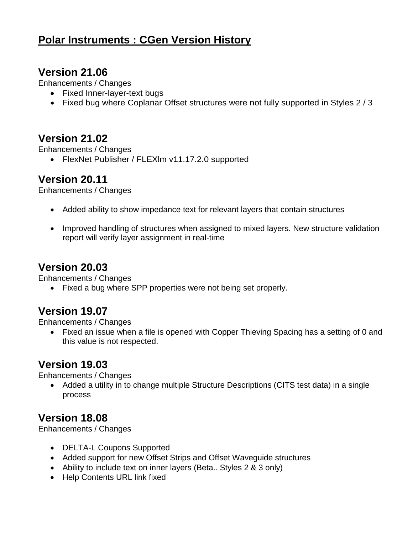## **Polar Instruments : CGen Version History**

#### **Version 21.06**

Enhancements / Changes

- Fixed Inner-layer-text bugs
- Fixed bug where Coplanar Offset structures were not fully supported in Styles 2 / 3

## **Version 21.02**

Enhancements / Changes

• FlexNet Publisher / FLEXIm v11.17.2.0 supported

#### **Version 20.11**

Enhancements / Changes

- Added ability to show impedance text for relevant layers that contain structures
- Improved handling of structures when assigned to mixed layers. New structure validation report will verify layer assignment in real-time

#### **Version 20.03**

Enhancements / Changes

• Fixed a bug where SPP properties were not being set properly.

#### **Version 19.07**

Enhancements / Changes

 Fixed an issue when a file is opened with Copper Thieving Spacing has a setting of 0 and this value is not respected.

#### **Version 19.03**

Enhancements / Changes

• Added a utility in to change multiple Structure Descriptions (CITS test data) in a single process

#### **Version 18.08**

Enhancements / Changes

- **DELTA-L Coupons Supported**
- Added support for new Offset Strips and Offset Waveguide structures
- Ability to include text on inner layers (Beta.. Styles 2 & 3 only)
- Help Contents URL link fixed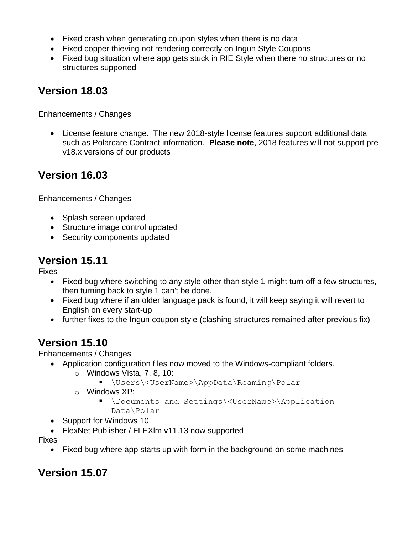- Fixed crash when generating coupon styles when there is no data
- Fixed copper thieving not rendering correctly on Ingun Style Coupons
- Fixed bug situation where app gets stuck in RIE Style when there no structures or no structures supported

## **Version 18.03**

Enhancements / Changes

 License feature change. The new 2018-style license features support additional data such as Polarcare Contract information. **Please note**, 2018 features will not support prev18.x versions of our products

# **Version 16.03**

Enhancements / Changes

- Splash screen updated
- Structure image control updated
- Security components updated

## **Version 15.11**

**Fixes** 

- Fixed bug where switching to any style other than style 1 might turn off a few structures, then turning back to style 1 can't be done.
- Fixed bug where if an older language pack is found, it will keep saying it will revert to English on every start-up
- further fixes to the Ingun coupon style (clashing structures remained after previous fix)

# **Version 15.10**

Enhancements / Changes

- Application configuration files now moved to the Windows-compliant folders.
	- $\circ$  Windows Vista, 7, 8, 10:
		- \Users\<UserName>\AppData\Roaming\Polar
	- o Windows XP:
		- \Documents and Settings\<UserName>\Application Data\Polar
- Support for Windows 10
- FlexNet Publisher / FLEXIm v11.13 now supported

Fixes

• Fixed bug where app starts up with form in the background on some machines

## **Version 15.07**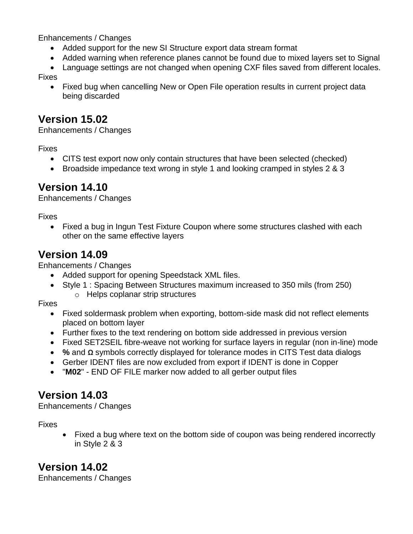Enhancements / Changes

- Added support for the new SI Structure export data stream format
- Added warning when reference planes cannot be found due to mixed layers set to Signal
- Language settings are not changed when opening CXF files saved from different locales.

Fixes

 Fixed bug when cancelling New or Open File operation results in current project data being discarded

## **Version 15.02**

Enhancements / Changes

**Fixes** 

- CITS test export now only contain structures that have been selected (checked)
- Broadside impedance text wrong in style 1 and looking cramped in styles 2 & 3

# **Version 14.10**

Enhancements / Changes

Fixes

• Fixed a bug in Ingun Test Fixture Coupon where some structures clashed with each other on the same effective layers

## **Version 14.09**

Enhancements / Changes

- Added support for opening Speedstack XML files.
- Style 1 : Spacing Between Structures maximum increased to 350 mils (from 250)
	- o Helps coplanar strip structures

Fixes

- Fixed soldermask problem when exporting, bottom-side mask did not reflect elements placed on bottom layer
- Further fixes to the text rendering on bottom side addressed in previous version
- Fixed SET2SEIL fibre-weave not working for surface layers in regular (non in-line) mode
- **%** and **Ω** symbols correctly displayed for tolerance modes in CITS Test data dialogs
- Gerber IDENT files are now excluded from export if IDENT is done in Copper
- "**M02**" END OF FILE marker now added to all gerber output files

## **Version 14.03**

Enhancements / Changes

**Fixes** 

 Fixed a bug where text on the bottom side of coupon was being rendered incorrectly in Style 2 & 3

## **Version 14.02**

Enhancements / Changes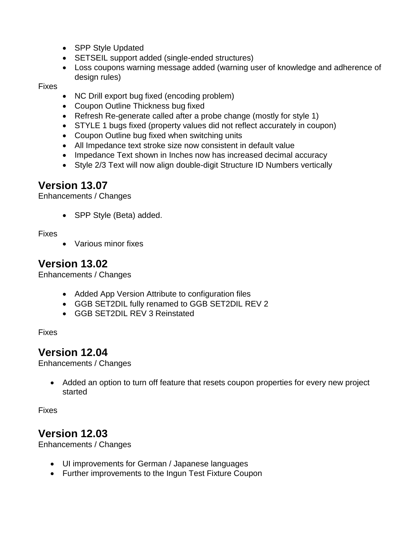- SPP Style Updated
- SETSEIL support added (single-ended structures)
- Loss coupons warning message added (warning user of knowledge and adherence of design rules)

Fixes

- NC Drill export bug fixed (encoding problem)
- Coupon Outline Thickness bug fixed
- Refresh Re-generate called after a probe change (mostly for style 1)
- STYLE 1 bugs fixed (property values did not reflect accurately in coupon)
- Coupon Outline bug fixed when switching units
- All Impedance text stroke size now consistent in default value
- Impedance Text shown in Inches now has increased decimal accuracy
- Style 2/3 Text will now align double-digit Structure ID Numbers vertically

#### **Version 13.07**

Enhancements / Changes

• SPP Style (Beta) added.

Fixes

Various minor fixes

#### **Version 13.02**

Enhancements / Changes

- Added App Version Attribute to configuration files
- GGB SET2DIL fully renamed to GGB SET2DIL REV 2
- GGB SET2DIL REV 3 Reinstated

Fixes

#### **Version 12.04**

Enhancements / Changes

• Added an option to turn off feature that resets coupon properties for every new project started

Fixes

#### **Version 12.03**

Enhancements / Changes

- UI improvements for German / Japanese languages
- Further improvements to the Ingun Test Fixture Coupon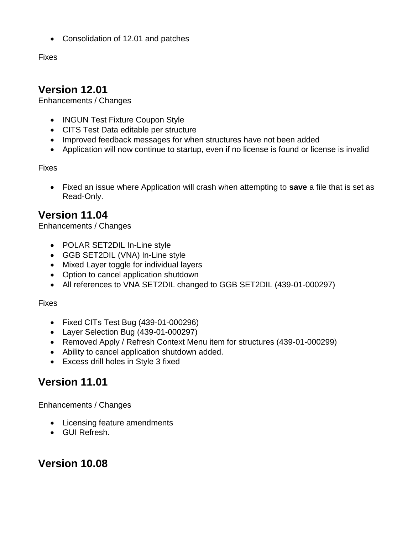• Consolidation of 12.01 and patches

Fixes

## **Version 12.01**

Enhancements / Changes

- INGUN Test Fixture Coupon Style
- CITS Test Data editable per structure
- Improved feedback messages for when structures have not been added
- Application will now continue to startup, even if no license is found or license is invalid

Fixes

 Fixed an issue where Application will crash when attempting to **save** a file that is set as Read-Only.

#### **Version 11.04**

Enhancements / Changes

- POLAR SET2DIL In-Line style
- GGB SET2DIL (VNA) In-Line style
- Mixed Layer toggle for individual layers
- Option to cancel application shutdown
- All references to VNA SET2DIL changed to GGB SET2DIL (439-01-000297)

#### Fixes

- Fixed CITs Test Bug (439-01-000296)
- Layer Selection Bug (439-01-000297)
- Removed Apply / Refresh Context Menu item for structures (439-01-000299)
- Ability to cancel application shutdown added.
- Excess drill holes in Style 3 fixed

## **Version 11.01**

Enhancements / Changes

- Licensing feature amendments
- GUI Refresh.

#### **Version 10.08**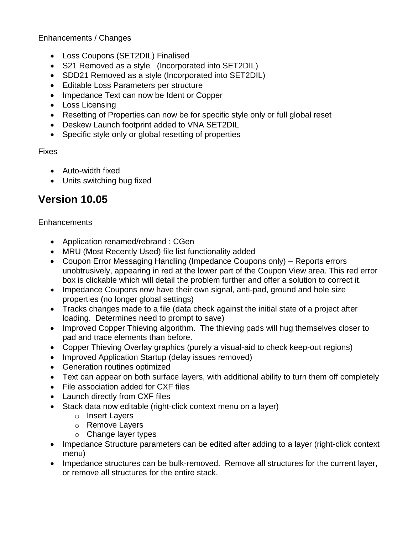Enhancements / Changes

- Loss Coupons (SET2DIL) Finalised
- S21 Removed as a style (Incorporated into SET2DIL)
- SDD21 Removed as a style (Incorporated into SET2DIL)
- Editable Loss Parameters per structure
- Impedance Text can now be Ident or Copper
- Loss Licensing
- Resetting of Properties can now be for specific style only or full global reset
- Deskew Launch footprint added to VNA SET2DIL
- Specific style only or global resetting of properties

#### **Fixes**

- Auto-width fixed
- Units switching bug fixed

## **Version 10.05**

#### **Enhancements**

- Application renamed/rebrand : CGen
- MRU (Most Recently Used) file list functionality added
- Coupon Error Messaging Handling (Impedance Coupons only) Reports errors unobtrusively, appearing in red at the lower part of the Coupon View area. This red error box is clickable which will detail the problem further and offer a solution to correct it.
- Impedance Coupons now have their own signal, anti-pad, ground and hole size properties (no longer global settings)
- Tracks changes made to a file (data check against the initial state of a project after loading. Determines need to prompt to save)
- Improved Copper Thieving algorithm. The thieving pads will hug themselves closer to pad and trace elements than before.
- Copper Thieving Overlay graphics (purely a visual-aid to check keep-out regions)
- Improved Application Startup (delay issues removed)
- Generation routines optimized
- Text can appear on both surface layers, with additional ability to turn them off completely
- File association added for CXF files
- Launch directly from CXF files
- Stack data now editable (right-click context menu on a layer)
	- o Insert Layers
	- o Remove Layers
	- o Change layer types
- Impedance Structure parameters can be edited after adding to a layer (right-click context menu)
- Impedance structures can be bulk-removed. Remove all structures for the current layer, or remove all structures for the entire stack.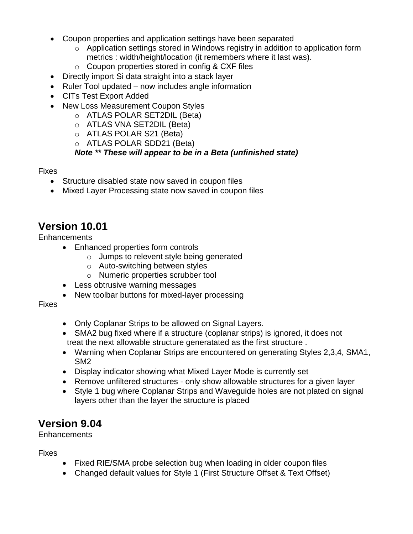- Coupon properties and application settings have been separated
	- o Application settings stored in Windows registry in addition to application form metrics : width/height/location (it remembers where it last was).
	- o Coupon properties stored in config & CXF files
- Directly import Si data straight into a stack layer
- Ruler Tool updated now includes angle information
- CITs Test Export Added
- New Loss Measurement Coupon Styles
	- o ATLAS POLAR SET2DIL (Beta)
	- o ATLAS VNA SET2DIL (Beta)
	- o ATLAS POLAR S21 (Beta)
	- o ATLAS POLAR SDD21 (Beta)

#### *Note \*\* These will appear to be in a Beta (unfinished state)*

#### Fixes

- Structure disabled state now saved in coupon files
- Mixed Layer Processing state now saved in coupon files

#### **Version 10.01**

**Enhancements** 

- Enhanced properties form controls
	- o Jumps to relevent style being generated
	- o Auto-switching between styles
	- o Numeric properties scrubber tool
- Less obtrusive warning messages
- New toolbar buttons for mixed-layer processing

**Fixes** 

- Only Coplanar Strips to be allowed on Signal Layers.
- SMA2 bug fixed where if a structure (coplanar strips) is ignored, it does not treat the next allowable structure generatated as the first structure .
- Warning when Coplanar Strips are encountered on generating Styles 2,3,4, SMA1, SM2
- Display indicator showing what Mixed Layer Mode is currently set
- Remove unfiltered structures only show allowable structures for a given layer
- Style 1 bug where Coplanar Strips and Waveguide holes are not plated on signal layers other than the layer the structure is placed

## **Version 9.04**

**Enhancements** 

Fixes

- Fixed RIE/SMA probe selection bug when loading in older coupon files
- Changed default values for Style 1 (First Structure Offset & Text Offset)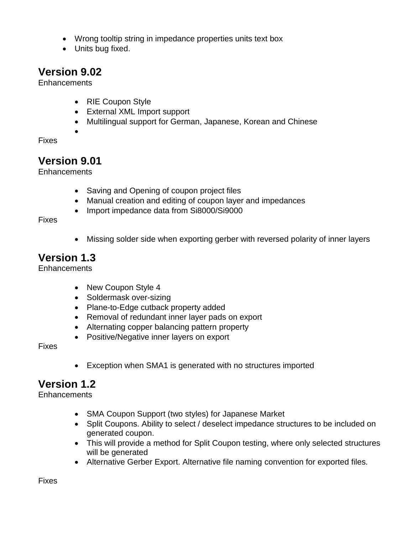- Wrong tooltip string in impedance properties units text box
- Units bug fixed.

# **Version 9.02**

**Enhancements** 

- RIE Coupon Style
- External XML Import support
- Multilingual support for German, Japanese, Korean and Chinese

Fixes

## **Version 9.01**

 $\bullet$ 

**Enhancements** 

- Saving and Opening of coupon project files
- Manual creation and editing of coupon layer and impedances
- Import impedance data from Si8000/Si9000

Fixes

Missing solder side when exporting gerber with reversed polarity of inner layers

# **Version 1.3**

**Enhancements** 

- New Coupon Style 4
- Soldermask over-sizing
- Plane-to-Edge cutback property added
- Removal of redundant inner layer pads on export
- Alternating copper balancing pattern property
- Positive/Negative inner layers on export

**Fixes** 

Exception when SMA1 is generated with no structures imported

# **Version 1.2**

**Enhancements** 

- SMA Coupon Support (two styles) for Japanese Market
- Split Coupons. Ability to select / deselect impedance structures to be included on generated coupon.
- This will provide a method for Split Coupon testing, where only selected structures will be generated
- Alternative Gerber Export. Alternative file naming convention for exported files.

Fixes